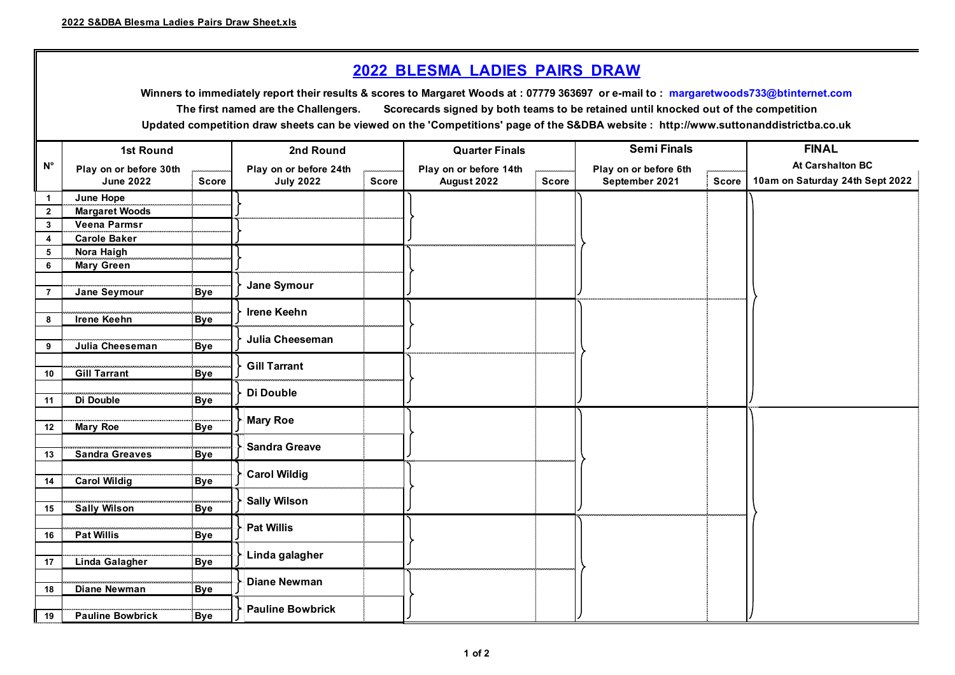## **2022 BLESMA LADIES PAIRS DRAW**

**Updated competition draw sheets can be viewed on the 'Competitions' page of the S&DBA website : http://www.suttonanddistrictba.co.uk Winners to immediately report their results & scores to Margaret Woods at : 07779 363697 or e-mail to : margaretwoods733@btinternet.com The first named are the Challengers. Scorecards signed by both teams to be retained until knocked out of the competition**

|                         | <b>1st Round</b>        |              | 2nd Round               |              | <b>Quarter Finals</b>  |                 | <b>Semi Finals</b>    |              | <b>FINAL</b>                    |
|-------------------------|-------------------------|--------------|-------------------------|--------------|------------------------|-----------------|-----------------------|--------------|---------------------------------|
| $\mathsf{N}^\circ$      | Play on or before 30th  |              | Play on or before 24th  |              | Play on or before 14th | ومعادد ومحادثات | Play on or before 6th |              | <b>At Carshalton BC</b>         |
|                         | <b>June 2022</b>        | <b>Score</b> | <b>July 2022</b>        | <b>Score</b> | August 2022            | <b>Score</b>    | September 2021        | <b>Score</b> | 10am on Saturday 24th Sept 2022 |
| $\mathbf{1}$            | June Hope               |              |                         |              |                        |                 |                       |              |                                 |
| $\overline{2}$          | <b>Margaret Woods</b>   |              |                         |              |                        |                 |                       |              |                                 |
| $\mathbf{3}$            | <b>Veena Parmsr</b>     |              |                         |              |                        |                 |                       |              |                                 |
| $\overline{\mathbf{4}}$ | <b>Carole Baker</b>     |              |                         |              |                        |                 |                       |              |                                 |
| 5                       | Nora Haigh              |              |                         |              |                        |                 |                       |              |                                 |
| 6                       | <b>Mary Green</b>       |              |                         |              |                        |                 |                       |              |                                 |
|                         |                         |              | Jane Symour             |              |                        |                 |                       |              |                                 |
| $\overline{7}$          | Jane Seymour            | <b>Bye</b>   |                         |              |                        |                 |                       |              |                                 |
|                         |                         |              | <b>Irene Keehn</b>      |              |                        |                 |                       |              |                                 |
| 8                       | <b>Irene Keehn</b>      | <b>Bye</b>   |                         |              |                        |                 |                       |              |                                 |
|                         |                         |              | Julia Cheeseman         |              |                        |                 |                       |              |                                 |
| 9                       | Julia Cheeseman         | <b>Bye</b>   |                         |              |                        |                 |                       |              |                                 |
|                         |                         |              | <b>Gill Tarrant</b>     |              |                        |                 |                       |              |                                 |
| 10                      | <b>Gill Tarrant</b>     | <b>Bye</b>   |                         |              |                        |                 |                       |              |                                 |
| 11                      | Di Double               | <b>Bye</b>   | Di Double               |              |                        |                 |                       |              |                                 |
|                         |                         |              |                         |              |                        |                 |                       |              |                                 |
| 12                      | <b>Mary Roe</b>         | <b>Bye</b>   | <b>Mary Roe</b>         |              |                        |                 |                       |              |                                 |
|                         |                         |              |                         |              |                        |                 |                       |              |                                 |
| 13                      | <b>Sandra Greaves</b>   | <b>Bye</b>   | <b>Sandra Greave</b>    |              |                        |                 |                       |              |                                 |
|                         |                         |              |                         |              |                        |                 |                       |              |                                 |
| 14                      | <b>Carol Wildig</b>     | <b>Bye</b>   | <b>Carol Wildig</b>     |              |                        |                 |                       |              |                                 |
|                         |                         |              |                         |              |                        |                 |                       |              |                                 |
| 15                      | <b>Sally Wilson</b>     | <b>Bye</b>   | <b>Sally Wilson</b>     |              |                        |                 |                       |              |                                 |
|                         |                         |              | <b>Pat Willis</b>       |              |                        |                 |                       |              |                                 |
| 16                      | <b>Pat Willis</b>       | <b>Bye</b>   |                         |              |                        |                 |                       |              |                                 |
|                         |                         |              | Linda galagher          |              |                        |                 |                       |              |                                 |
| 17                      | Linda Galagher          | <b>Bye</b>   |                         |              |                        |                 |                       |              |                                 |
|                         |                         |              | <b>Diane Newman</b>     |              |                        |                 |                       |              |                                 |
| 18                      | Diane Newman            | <b>Bye</b>   |                         |              |                        |                 |                       |              |                                 |
|                         |                         |              | <b>Pauline Bowbrick</b> |              |                        |                 |                       |              |                                 |
| 19                      | <b>Pauline Bowbrick</b> | <b>Bye</b>   |                         |              |                        |                 |                       |              |                                 |